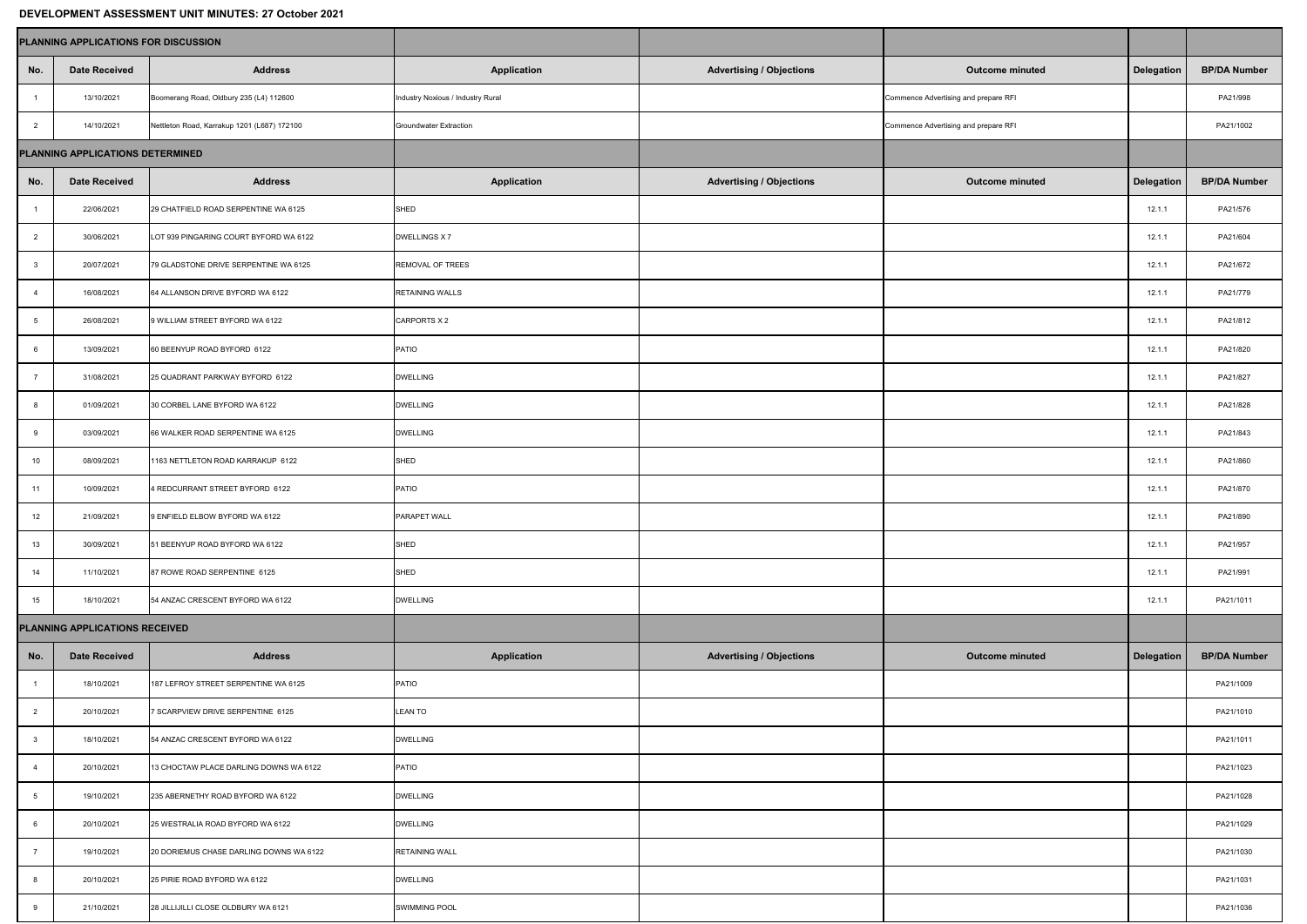## **DEVELOPMENT ASSESSMENT UNIT MINUTES: 27 October 2021**

| PETEEUI MENT AUGEGOMENT ONIT MINGTEGLET OOLGAGI EVET<br><b>PLANNING APPLICATIONS FOR DISCUSSION</b> |                      |                                             |                                   |                                 |                                      |                   |                     |  |  |  |  |  |
|-----------------------------------------------------------------------------------------------------|----------------------|---------------------------------------------|-----------------------------------|---------------------------------|--------------------------------------|-------------------|---------------------|--|--|--|--|--|
|                                                                                                     |                      |                                             |                                   |                                 |                                      |                   |                     |  |  |  |  |  |
| No.                                                                                                 | <b>Date Received</b> | <b>Address</b>                              | <b>Application</b>                | <b>Advertising / Objections</b> | <b>Outcome minuted</b>               | <b>Delegation</b> | <b>BP/DA Number</b> |  |  |  |  |  |
|                                                                                                     | 13/10/2021           | Boomerang Road, Oldbury 235 (L4) 112600     | Industry Noxious / Industry Rural |                                 | Commence Advertising and prepare RFI |                   | PA21/998            |  |  |  |  |  |
| 2                                                                                                   | 14/10/2021           | Nettleton Road, Karrakup 1201 (L687) 172100 | <b>Groundwater Extraction</b>     |                                 | Commence Advertising and prepare RFI |                   | PA21/1002           |  |  |  |  |  |
| <b>PLANNING APPLICATIONS DETERMINED</b>                                                             |                      |                                             |                                   |                                 |                                      |                   |                     |  |  |  |  |  |
| No.                                                                                                 | <b>Date Received</b> | <b>Address</b>                              | <b>Application</b>                | <b>Advertising / Objections</b> | <b>Outcome minuted</b>               | <b>Delegation</b> | <b>BP/DA Number</b> |  |  |  |  |  |
|                                                                                                     | 22/06/2021           | 29 CHATFIELD ROAD SERPENTINE WA 6125        | SHED                              |                                 |                                      | 12.1.1            | PA21/576            |  |  |  |  |  |
| $\overline{2}$                                                                                      | 30/06/2021           | LOT 939 PINGARING COURT BYFORD WA 6122      | DWELLINGS X 7                     |                                 |                                      | 12.1.1            | PA21/604            |  |  |  |  |  |
|                                                                                                     | 20/07/2021           | 79 GLADSTONE DRIVE SERPENTINE WA 6125       | <b>REMOVAL OF TREES</b>           |                                 |                                      | 12.1.1            | PA21/672            |  |  |  |  |  |
|                                                                                                     | 16/08/2021           | 64 ALLANSON DRIVE BYFORD WA 6122            | <b>RETAINING WALLS</b>            |                                 |                                      | 12.1.1            | PA21/779            |  |  |  |  |  |
|                                                                                                     | 26/08/2021           | 9 WILLIAM STREET BYFORD WA 6122             | CARPORTS X 2                      |                                 |                                      | 12.1.1            | PA21/812            |  |  |  |  |  |
|                                                                                                     | 13/09/2021           | 60 BEENYUP ROAD BYFORD 6122                 | PATIO                             |                                 |                                      | 12.1.1            | PA21/820            |  |  |  |  |  |
|                                                                                                     | 31/08/2021           | 25 QUADRANT PARKWAY BYFORD 6122             | <b>DWELLING</b>                   |                                 |                                      | 12.1.1            | PA21/827            |  |  |  |  |  |
| 8                                                                                                   | 01/09/2021           | 30 CORBEL LANE BYFORD WA 6122               | <b>DWELLING</b>                   |                                 |                                      | 12.1.1            | PA21/828            |  |  |  |  |  |
| 9                                                                                                   | 03/09/2021           | 66 WALKER ROAD SERPENTINE WA 6125           | <b>DWELLING</b>                   |                                 |                                      | 12.1.1            | PA21/843            |  |  |  |  |  |
| 10 <sup>°</sup>                                                                                     | 08/09/2021           | 1163 NETTLETON ROAD KARRAKUP 6122           | SHED                              |                                 |                                      | 12.1.1            | PA21/860            |  |  |  |  |  |
| 11                                                                                                  | 10/09/2021           | 4 REDCURRANT STREET BYFORD 6122             | PATIO                             |                                 |                                      | 12.1.1            | PA21/870            |  |  |  |  |  |
| 12                                                                                                  | 21/09/2021           | 9 ENFIELD ELBOW BYFORD WA 6122              | <b>PARAPET WALL</b>               |                                 |                                      | 12.1.1            | PA21/890            |  |  |  |  |  |
| 13                                                                                                  | 30/09/2021           | 51 BEENYUP ROAD BYFORD WA 6122              | SHED                              |                                 |                                      | 12.1.1            | PA21/957            |  |  |  |  |  |
| 14                                                                                                  | 11/10/2021           | 87 ROWE ROAD SERPENTINE 6125                | SHED                              |                                 |                                      | 12.1.1            | PA21/991            |  |  |  |  |  |
| 15                                                                                                  | 18/10/2021           | 54 ANZAC CRESCENT BYFORD WA 6122            | <b>DWELLING</b>                   |                                 |                                      | 12.1.1            | PA21/1011           |  |  |  |  |  |
| <b>PLANNING APPLICATIONS RECEIVED</b>                                                               |                      |                                             |                                   |                                 |                                      |                   |                     |  |  |  |  |  |
| No.                                                                                                 | <b>Date Received</b> | <b>Address</b>                              | <b>Application</b>                | <b>Advertising / Objections</b> | <b>Outcome minuted</b>               | Delegation        | <b>BP/DA Number</b> |  |  |  |  |  |
|                                                                                                     | 18/10/2021           | 187 LEFROY STREET SERPENTINE WA 6125        | PATIO                             |                                 |                                      |                   | PA21/1009           |  |  |  |  |  |
| $\overline{2}$                                                                                      | 20/10/2021           | 7 SCARPVIEW DRIVE SERPENTINE 6125           | <b>LEAN TO</b>                    |                                 |                                      |                   | PA21/1010           |  |  |  |  |  |
|                                                                                                     | 18/10/2021           | 54 ANZAC CRESCENT BYFORD WA 6122            | <b>DWELLING</b>                   |                                 |                                      |                   | PA21/1011           |  |  |  |  |  |
|                                                                                                     | 20/10/2021           | 13 CHOCTAW PLACE DARLING DOWNS WA 6122      | PATIO                             |                                 |                                      |                   | PA21/1023           |  |  |  |  |  |
|                                                                                                     | 19/10/2021           | 235 ABERNETHY ROAD BYFORD WA 6122           | <b>DWELLING</b>                   |                                 |                                      |                   | PA21/1028           |  |  |  |  |  |
|                                                                                                     | 20/10/2021           | 25 WESTRALIA ROAD BYFORD WA 6122            | <b>DWELLING</b>                   |                                 |                                      |                   | PA21/1029           |  |  |  |  |  |
|                                                                                                     | 19/10/2021           | 20 DORIEMUS CHASE DARLING DOWNS WA 6122     | <b>RETAINING WALL</b>             |                                 |                                      |                   | PA21/1030           |  |  |  |  |  |
|                                                                                                     | 20/10/2021           | 25 PIRIE ROAD BYFORD WA 6122                | <b>DWELLING</b>                   |                                 |                                      |                   | PA21/1031           |  |  |  |  |  |
|                                                                                                     | 21/10/2021           | 28 JILLIJILLI CLOSE OLDBURY WA 6121         | <b>SWIMMING POOL</b>              |                                 |                                      |                   | PA21/1036           |  |  |  |  |  |